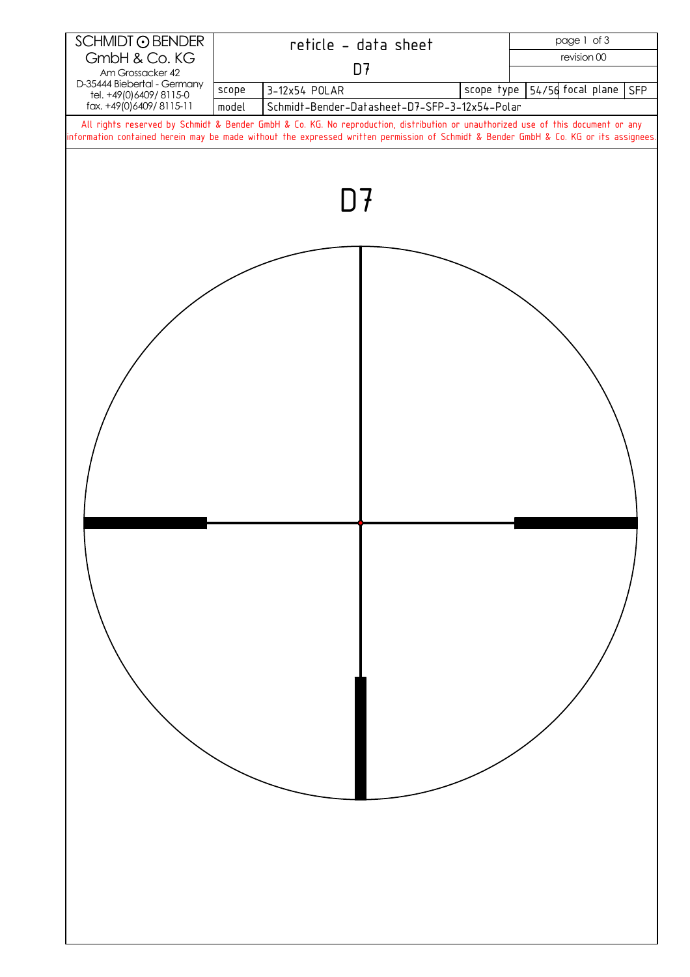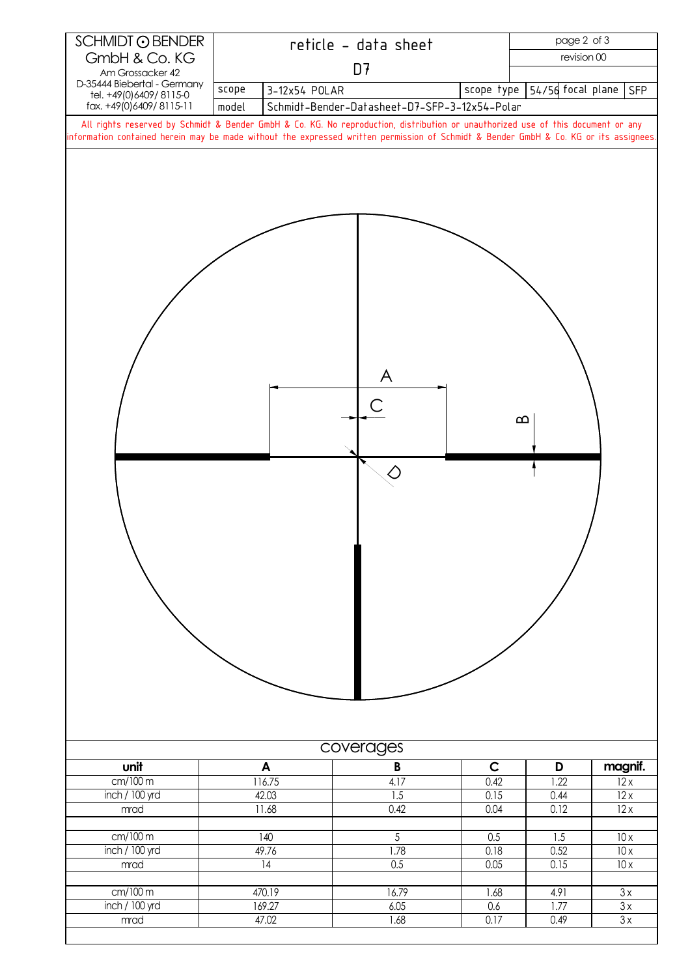